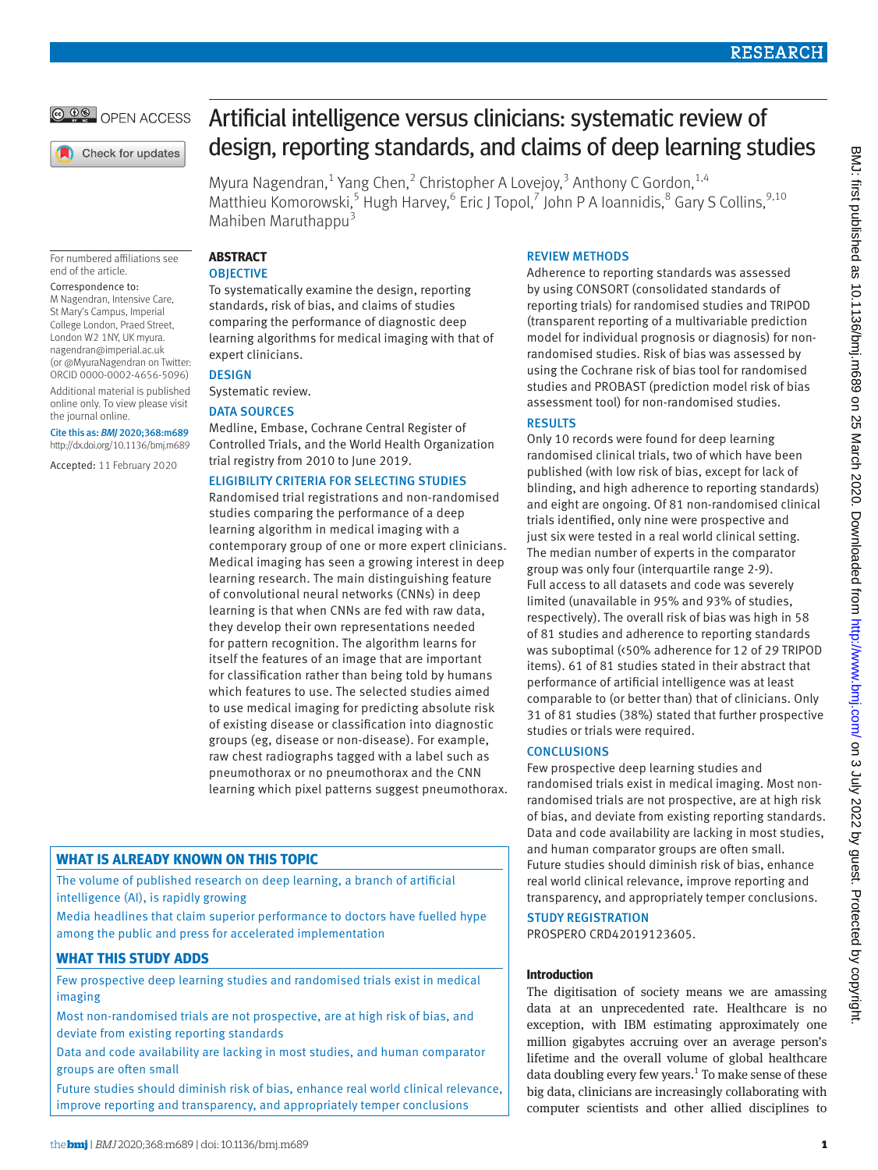

Check for updates

For numbered affiliations see end of the article.

#### Correspondence to:

M Nagendran, Intensive Care, St Mary's Campus, Imperial College London, Praed Street, London W2 1NY, UK [myura.](mailto:myura.nagendran@imperial.ac.uk) [nagendran@imperial.ac.uk](mailto:myura.nagendran@imperial.ac.uk) (or [@MyuraNagendran](https://twitter.com/myuranagendran) on Twitter: ORCID [0000-0002-4656-5096](http://orcid.org/0000-0002-4656-5096)) Additional material is published online only. To view please visit the journal online.

Cite this as: *BMJ* 2020;368:m689 http://dx.doi.org/10.1136/bmj.m689

Accepted: 11 February 2020

# Artificial intelligence versus clinicians: systematic review of design, reporting standards, and claims of deep learning studies

Myura Nagendran,<sup>1</sup> Yang Chen,<sup>2</sup> Christopher A Lovejoy,<sup>3</sup> Anthony C Gordon,<sup>1,4</sup> Matthieu Komorowski,<sup>5</sup> Hugh Harvey,<sup>6</sup> Eric J Topol,<sup>7</sup> John P A Ioannidis,<sup>8</sup> Gary S Collins,<sup>9,10</sup> Mahiben Maruthappu $3$ 

## **ABSTRACT OBJECTIVE**

To systematically examine the design, reporting standards, risk of bias, and claims of studies comparing the performance of diagnostic deep learning algorithms for medical imaging with that of expert clinicians.

# **DESIGN**

Systematic review.

# DATA SOURCES

Medline, Embase, Cochrane Central Register of Controlled Trials, and the World Health Organization trial registry from 2010 to June 2019.

# ELIGIBILITY CRITERIA FOR SELECTING STUDIES

Randomised trial registrations and non-randomised studies comparing the performance of a deep learning algorithm in medical imaging with a contemporary group of one or more expert clinicians. Medical imaging has seen a growing interest in deep learning research. The main distinguishing feature of convolutional neural networks (CNNs) in deep learning is that when CNNs are fed with raw data, they develop their own representations needed for pattern recognition. The algorithm learns for itself the features of an image that are important for classification rather than being told by humans which features to use. The selected studies aimed to use medical imaging for predicting absolute risk of existing disease or classification into diagnostic groups (eg, disease or non-disease). For example, raw chest radiographs tagged with a label such as pneumothorax or no pneumothorax and the CNN learning which pixel patterns suggest pneumothorax.

# **WHAT IS ALREADY KNOWN ON THIS TOPIC**

The volume of published research on deep learning, a branch of artificial intelligence (AI), is rapidly growing

Media headlines that claim superior performance to doctors have fuelled hype among the public and press for accelerated implementation

# **WHAT THIS STUDY ADDS**

Few prospective deep learning studies and randomised trials exist in medical imaging

Most non-randomised trials are not prospective, are at high risk of bias, and deviate from existing reporting standards

Data and code availability are lacking in most studies, and human comparator groups are often small

Future studies should diminish risk of bias, enhance real world clinical relevance, improve reporting and transparency, and appropriately temper conclusions

# REVIEW METHODS

Adherence to reporting standards was assessed by using CONSORT (consolidated standards of reporting trials) for randomised studies and TRIPOD (transparent reporting of a multivariable prediction model for individual prognosis or diagnosis) for nonrandomised studies. Risk of bias was assessed by using the Cochrane risk of bias tool for randomised studies and PROBAST (prediction model risk of bias assessment tool) for non-randomised studies.

# **RESULTS**

Only 10 records were found for deep learning randomised clinical trials, two of which have been published (with low risk of bias, except for lack of blinding, and high adherence to reporting standards) and eight are ongoing. Of 81 non-randomised clinical trials identified, only nine were prospective and just six were tested in a real world clinical setting. The median number of experts in the comparator group was only four (interquartile range 2-9). Full access to all datasets and code was severely limited (unavailable in 95% and 93% of studies, respectively). The overall risk of bias was high in 58 of 81 studies and adherence to reporting standards was suboptimal (<50% adherence for 12 of 29 TRIPOD items). 61 of 81 studies stated in their abstract that performance of artificial intelligence was at least comparable to (or better than) that of clinicians. Only 31 of 81 studies (38%) stated that further prospective studies or trials were required.

# **CONCLUSIONS**

Few prospective deep learning studies and randomised trials exist in medical imaging. Most nonrandomised trials are not prospective, are at high risk of bias, and deviate from existing reporting standards. Data and code availability are lacking in most studies, and human comparator groups are often small. Future studies should diminish risk of bias, enhance real world clinical relevance, improve reporting and transparency, and appropriately temper conclusions.

# STUDY REGISTRATION

PROSPERO CRD42019123605.

# **Introduction**

The digitisation of society means we are amassing data at an unprecedented rate. Healthcare is no exception, with IBM estimating approximately one million gigabytes accruing over an average person's lifetime and the overall volume of global healthcare data doubling every few years.<sup>1</sup> To make sense of these big data, clinicians are increasingly collaborating with computer scientists and other allied disciplines to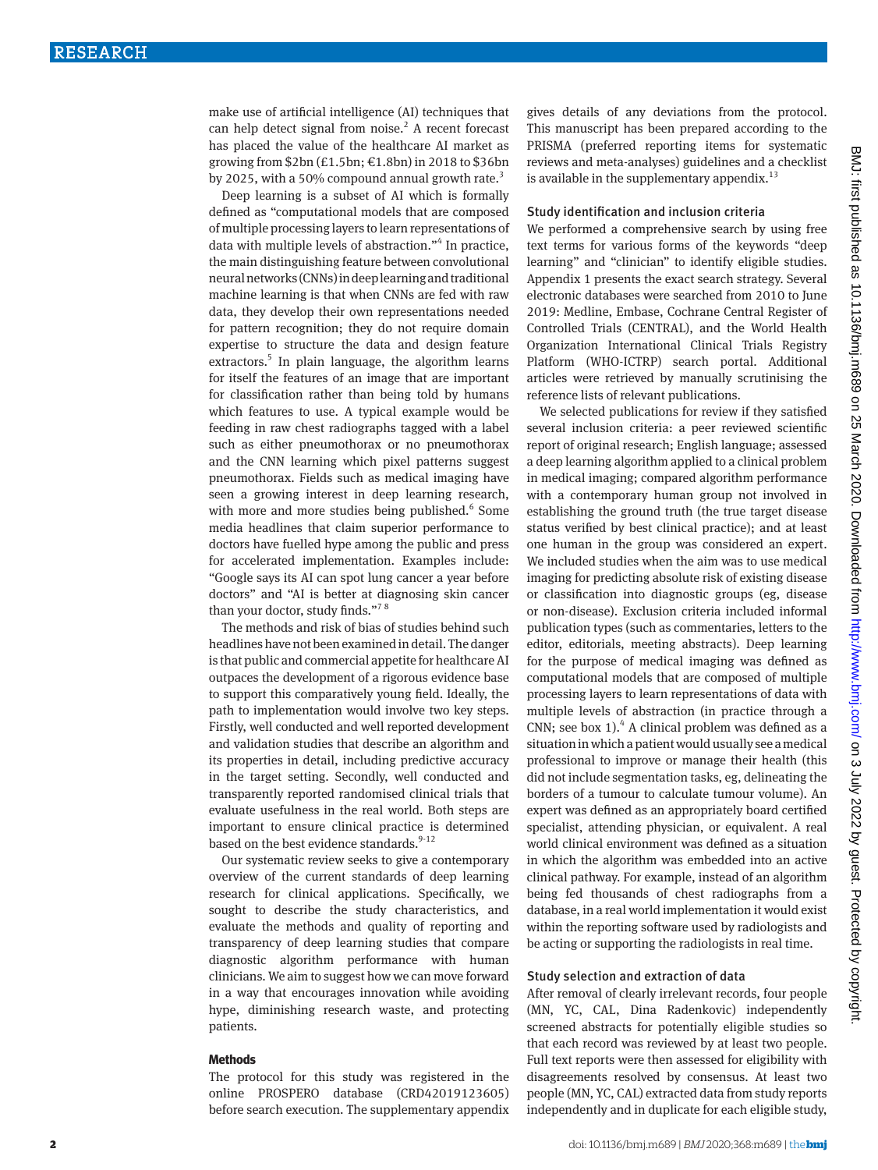make use of artificial intelligence (AI) techniques that can help detect signal from noise. $<sup>2</sup>$  A recent forecast</sup> has placed the value of the healthcare AI market as growing from  $$2bn (£1.5bn; £1.8bn)$  in 2018 to \$36bn by 2025, with a 50% compound annual growth rate.<sup>3</sup>

Deep learning is a subset of AI which is formally defined as "computational models that are composed of multiple processing layers to learn representations of data with multiple levels of abstraction."<sup>4</sup> In practice, the main distinguishing feature between convolutional neural networks (CNNs) in deep learning and traditional machine learning is that when CNNs are fed with raw data, they develop their own representations needed for pattern recognition; they do not require domain expertise to structure the data and design feature extractors.<sup>5</sup> In plain language, the algorithm learns for itself the features of an image that are important for classification rather than being told by humans which features to use. A typical example would be feeding in raw chest radiographs tagged with a label such as either pneumothorax or no pneumothorax and the CNN learning which pixel patterns suggest pneumothorax. Fields such as medical imaging have seen a growing interest in deep learning research, with more and more studies being published.<sup>6</sup> Some media headlines that claim superior performance to doctors have fuelled hype among the public and press for accelerated implementation. Examples include: "Google says its AI can spot lung cancer a year before doctors" and "AI is better at diagnosing skin cancer than your doctor, study finds."<sup>78</sup>

The methods and risk of bias of studies behind such headlines have not been examined in detail. The danger is that public and commercial appetite for healthcare AI outpaces the development of a rigorous evidence base to support this comparatively young field. Ideally, the path to implementation would involve two key steps. Firstly, well conducted and well reported development and validation studies that describe an algorithm and its properties in detail, including predictive accuracy in the target setting. Secondly, well conducted and transparently reported randomised clinical trials that evaluate usefulness in the real world. Both steps are important to ensure clinical practice is determined based on the best evidence standards.<sup>9-12</sup>

Our systematic review seeks to give a contemporary overview of the current standards of deep learning research for clinical applications. Specifically, we sought to describe the study characteristics, and evaluate the methods and quality of reporting and transparency of deep learning studies that compare diagnostic algorithm performance with human clinicians. We aim to suggest how we can move forward in a way that encourages innovation while avoiding hype, diminishing research waste, and protecting patients.

## **Methods**

The protocol for this study was registered in the online PROSPERO database (CRD42019123605) before search execution. The supplementary appendix gives details of any deviations from the protocol. This manuscript has been prepared according to the PRISMA (preferred reporting items for systematic reviews and meta-analyses) guidelines and a checklist is available in the supplementary appendix. $^{13}$ 

#### Study identification and inclusion criteria

We performed a comprehensive search by using free text terms for various forms of the keywords "deep learning" and "clinician" to identify eligible studies. Appendix 1 presents the exact search strategy. Several electronic databases were searched from 2010 to June 2019: Medline, Embase, Cochrane Central Register of Controlled Trials (CENTRAL), and the World Health Organization International Clinical Trials Registry Platform (WHO-ICTRP) search portal. Additional articles were retrieved by manually scrutinising the reference lists of relevant publications.

We selected publications for review if they satisfied several inclusion criteria: a peer reviewed scientific report of original research; English language; assessed a deep learning algorithm applied to a clinical problem in medical imaging; compared algorithm performance with a contemporary human group not involved in establishing the ground truth (the true target disease status verified by best clinical practice); and at least one human in the group was considered an expert. We included studies when the aim was to use medical imaging for predicting absolute risk of existing disease or classification into diagnostic groups (eg, disease or non-disease). Exclusion criteria included informal publication types (such as commentaries, letters to the editor, editorials, meeting abstracts). Deep learning for the purpose of medical imaging was defined as computational models that are composed of multiple processing layers to learn representations of data with multiple levels of abstraction (in practice through a CNN; see box  $1$ ).<sup>4</sup> A clinical problem was defined as a situation in which a patient would usually see a medical professional to improve or manage their health (this did not include segmentation tasks, eg, delineating the borders of a tumour to calculate tumour volume). An expert was defined as an appropriately board certified specialist, attending physician, or equivalent. A real world clinical environment was defined as a situation in which the algorithm was embedded into an active clinical pathway. For example, instead of an algorithm being fed thousands of chest radiographs from a database, in a real world implementation it would exist within the reporting software used by radiologists and be acting or supporting the radiologists in real time.

# Study selection and extraction of data

After removal of clearly irrelevant records, four people (MN, YC, CAL, Dina Radenkovic) independently screened abstracts for potentially eligible studies so that each record was reviewed by at least two people. Full text reports were then assessed for eligibility with disagreements resolved by consensus. At least two people (MN, YC, CAL) extracted data from study reports independently and in duplicate for each eligible study,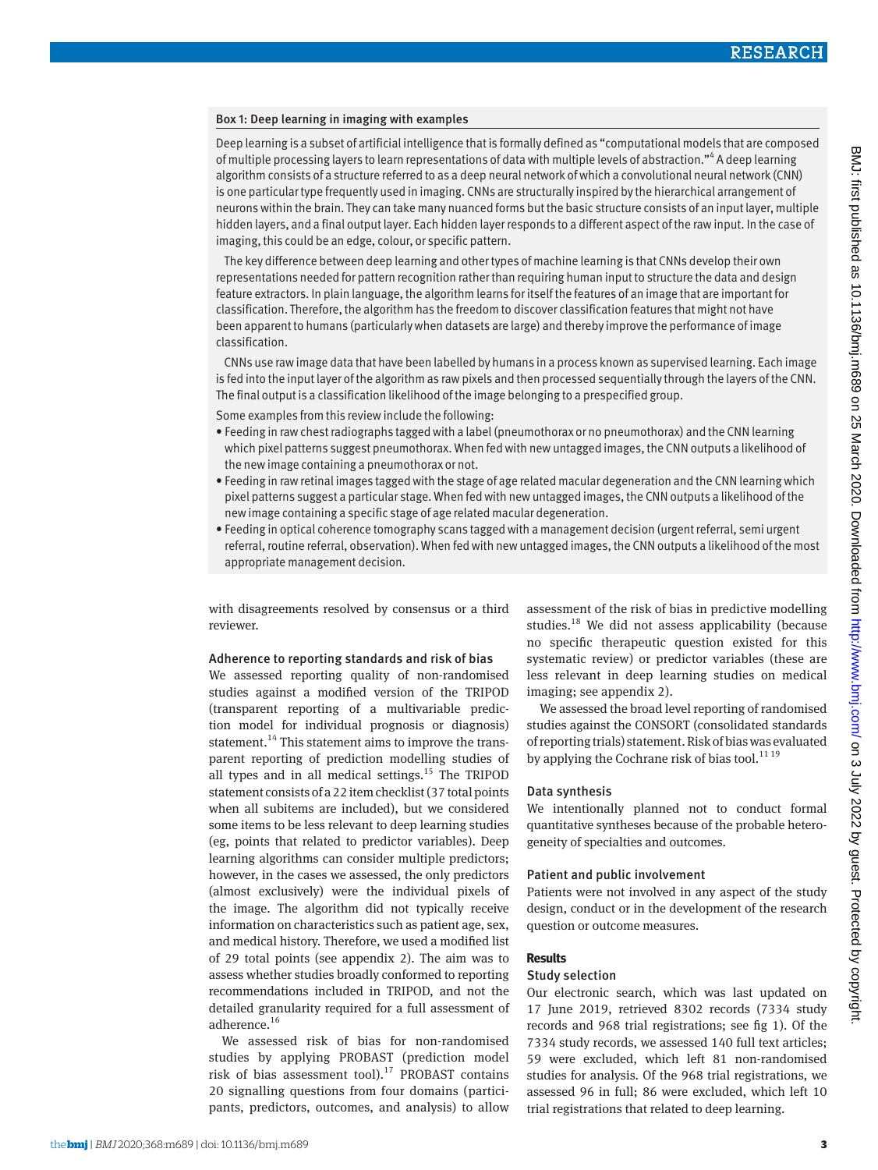# Box 1: Deep learning in imaging with examples

Deep learning is a subset of artificial intelligence that is formally defined as "computational models that are composed of multiple processing layers to learn representations of data with multiple levels of abstraction."<sup>4</sup> A deep learning algorithm consists of a structure referred to as a deep neural network of which a convolutional neural network (CNN) is one particular type frequently used in imaging. CNNs are structurally inspired by the hierarchical arrangement of neurons within the brain. They can take many nuanced forms but the basic structure consists of an input layer, multiple hidden layers, and a final output layer. Each hidden layer responds to a different aspect of the raw input. In the case of imaging, this could be an edge, colour, or specific pattern.

The key difference between deep learning and other types of machine learning is that CNNs develop their own representations needed for pattern recognition rather than requiring human input to structure the data and design feature extractors. In plain language, the algorithm learns for itself the features of an image that are important for classification. Therefore, the algorithm has the freedom to discover classification features that might not have been apparent to humans (particularly when datasets are large) and thereby improve the performance of image classification.

CNNs use raw image data that have been labelled by humans in a process known as supervised learning. Each image is fed into the input layer of the algorithm as raw pixels and then processed sequentially through the layers of the CNN. The final output is a classification likelihood of the image belonging to a prespecified group.

Some examples from this review include the following:

- Feeding in raw chest radiographs tagged with a label (pneumothorax or no pneumothorax) and the CNN learning which pixel patterns suggest pneumothorax. When fed with new untagged images, the CNN outputs a likelihood of the new image containing a pneumothorax or not.
- Feeding in raw retinal images tagged with the stage of age related macular degeneration and the CNN learning which pixel patterns suggest a particular stage. When fed with new untagged images, the CNN outputs a likelihood of the new image containing a specific stage of age related macular degeneration.
- Feeding in optical coherence tomography scans tagged with a management decision (urgent referral, semi urgent referral, routine referral, observation). When fed with new untagged images, the CNN outputs a likelihood of the most appropriate management decision.

with disagreements resolved by consensus or a third reviewer.

# Adherence to reporting standards and risk of bias

We assessed reporting quality of non-randomised studies against a modified version of the TRIPOD (transparent reporting of a multivariable prediction model for individual prognosis or diagnosis) statement.<sup>14</sup> This statement aims to improve the transparent reporting of prediction modelling studies of all types and in all medical settings.<sup>15</sup> The TRIPOD statement consists of a 22 item checklist (37 total points when all subitems are included), but we considered some items to be less relevant to deep learning studies (eg, points that related to predictor variables). Deep learning algorithms can consider multiple predictors; however, in the cases we assessed, the only predictors (almost exclusively) were the individual pixels of the image. The algorithm did not typically receive information on characteristics such as patient age, sex, and medical history. Therefore, we used a modified list of 29 total points (see appendix 2). The aim was to assess whether studies broadly conformed to reporting recommendations included in TRIPOD, and not the detailed granularity required for a full assessment of adherence.<sup>16</sup>

We assessed risk of bias for non-randomised studies by applying PROBAST (prediction model risk of bias assessment tool).17 PROBAST contains 20 signalling questions from four domains (participants, predictors, outcomes, and analysis) to allow assessment of the risk of bias in predictive modelling studies.18 We did not assess applicability (because no specific therapeutic question existed for this systematic review) or predictor variables (these are less relevant in deep learning studies on medical imaging; see appendix 2).

We assessed the broad level reporting of randomised studies against the CONSORT (consolidated standards of reporting trials) statement. Risk of bias was evaluated by applying the Cochrane risk of bias tool.<sup>11 19</sup>

# Data synthesis

We intentionally planned not to conduct formal quantitative syntheses because of the probable heterogeneity of specialties and outcomes.

#### Patient and public involvement

Patients were not involved in any aspect of the study design, conduct or in the development of the research question or outcome measures.

## **Results**

## Study selection

Our electronic search, which was last updated on 17 June 2019, retrieved 8302 records (7334 study records and 968 trial registrations; see fig 1). Of the 7334 study records, we assessed 140 full text articles; 59 were excluded, which left 81 non-randomised studies for analysis. Of the 968 trial registrations, we assessed 96 in full; 86 were excluded, which left 10 trial registrations that related to deep learning.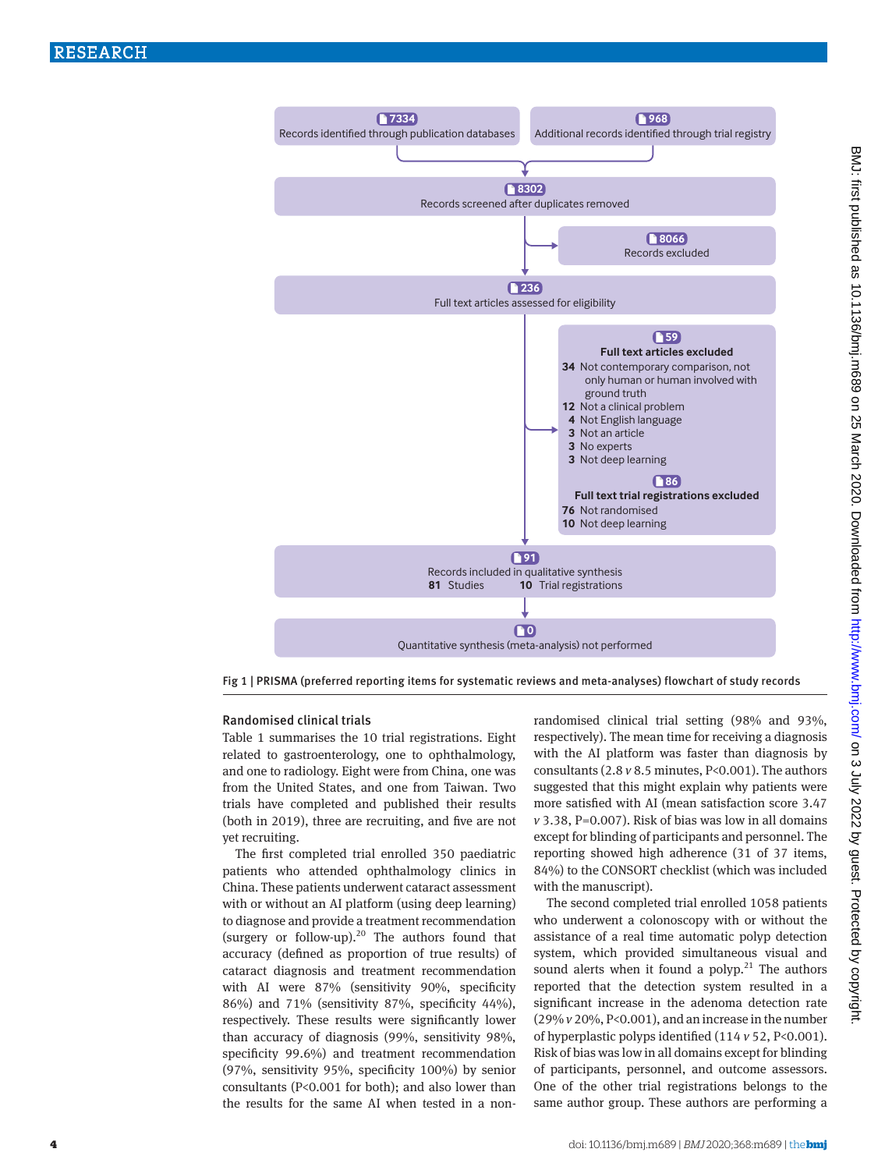

Fig 1 | PRISMA (preferred reporting items for systematic reviews and meta-analyses) flowchart of study records

# Randomised clinical trials

Table 1 summarises the 10 trial registrations. Eight related to gastroenterology, one to ophthalmology, and one to radiology. Eight were from China, one was from the United States, and one from Taiwan. Two trials have completed and published their results (both in 2019), three are recruiting, and five are not yet recruiting.

The first completed trial enrolled 350 paediatric patients who attended ophthalmology clinics in China. These patients underwent cataract assessment with or without an AI platform (using deep learning) to diagnose and provide a treatment recommendation (surgery or follow-up). $20$  The authors found that accuracy (defined as proportion of true results) of cataract diagnosis and treatment recommendation with AI were 87% (sensitivity 90%, specificity 86%) and 71% (sensitivity 87%, specificity 44%), respectively. These results were significantly lower than accuracy of diagnosis (99%, sensitivity 98%, specificity 99.6%) and treatment recommendation (97%, sensitivity 95%, specificity 100%) by senior consultants (P<0.001 for both); and also lower than the results for the same AI when tested in a nonrandomised clinical trial setting (98% and 93%, respectively). The mean time for receiving a diagnosis with the AI platform was faster than diagnosis by consultants (2.8 *v* 8.5 minutes, P<0.001). The authors suggested that this might explain why patients were more satisfied with AI (mean satisfaction score 3.47 *v* 3.38, P=0.007). Risk of bias was low in all domains except for blinding of participants and personnel. The reporting showed high adherence (31 of 37 items, 84%) to the CONSORT checklist (which was included with the manuscript).

The second completed trial enrolled 1058 patients who underwent a colonoscopy with or without the assistance of a real time automatic polyp detection system, which provided simultaneous visual and sound alerts when it found a polyp. $21$  The authors reported that the detection system resulted in a significant increase in the adenoma detection rate (29% *v* 20%, P<0.001), and an increase in the number of hyperplastic polyps identified (114 *v* 52, P<0.001). Risk of bias was low in all domains except for blinding of participants, personnel, and outcome assessors. One of the other trial registrations belongs to the same author group. These authors are performing a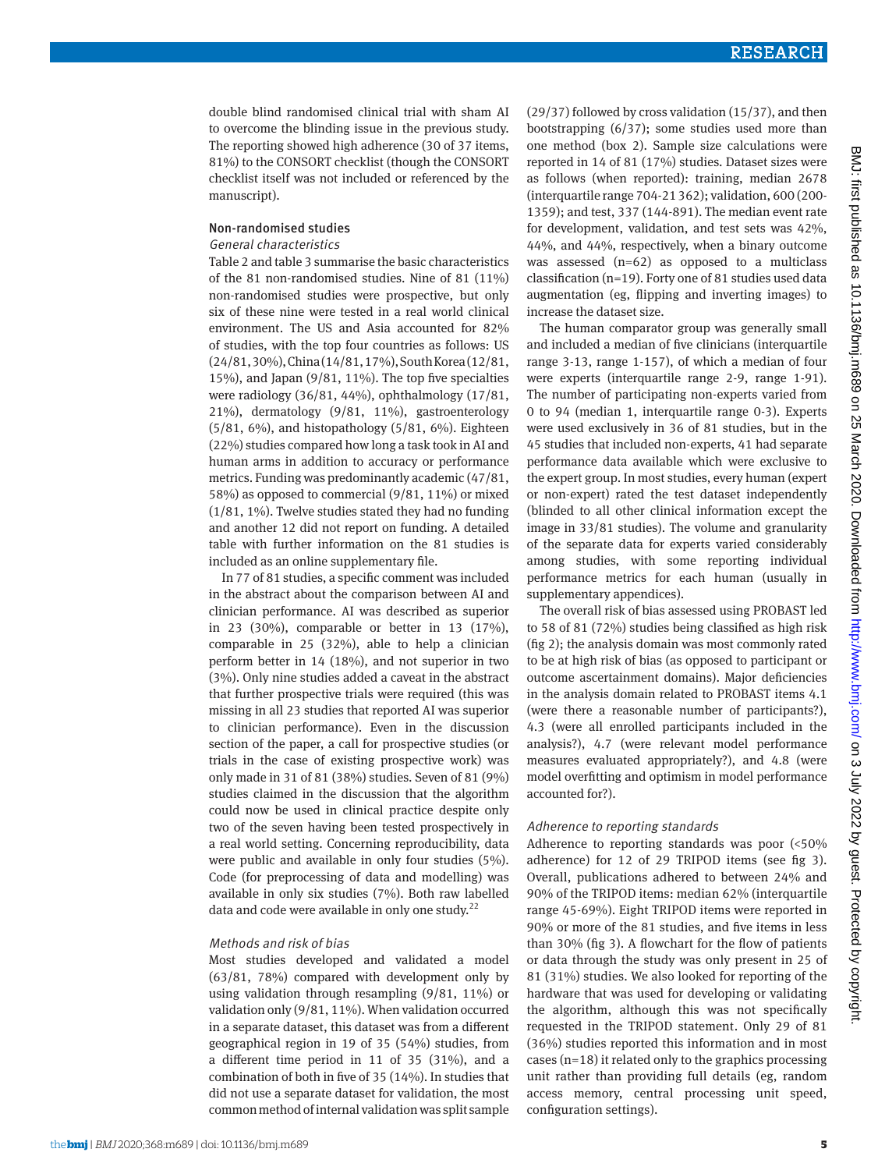double blind randomised clinical trial with sham AI to overcome the blinding issue in the previous study. The reporting showed high adherence (30 of 37 items, 81%) to the CONSORT checklist (though the CONSORT checklist itself was not included or referenced by the manuscript).

# Non-randomised studies

## General characteristics

Table 2 and table 3 summarise the basic characteristics of the 81 non-randomised studies. Nine of 81 (11%) non-randomised studies were prospective, but only six of these nine were tested in a real world clinical environment. The US and Asia accounted for 82% of studies, with the top four countries as follows: US (24/81, 30%), China (14/81, 17%), South Korea (12/81, 15%), and Japan  $(9/81, 11\%)$ . The top five specialties were radiology (36/81, 44%), ophthalmology (17/81, 21%), dermatology (9/81, 11%), gastroenterology (5/81, 6%), and histopathology (5/81, 6%). Eighteen (22%) studies compared how long a task took in AI and human arms in addition to accuracy or performance metrics. Funding was predominantly academic (47/81, 58%) as opposed to commercial (9/81, 11%) or mixed  $(1/81, 1\%)$ . Twelve studies stated they had no funding and another 12 did not report on funding. A detailed table with further information on the 81 studies is included as an online supplementary file.

In 77 of 81 studies, a specific comment was included in the abstract about the comparison between AI and clinician performance. AI was described as superior in 23 (30%), comparable or better in 13 (17%), comparable in 25 (32%), able to help a clinician perform better in 14 (18%), and not superior in two (3%). Only nine studies added a caveat in the abstract that further prospective trials were required (this was missing in all 23 studies that reported AI was superior to clinician performance). Even in the discussion section of the paper, a call for prospective studies (or trials in the case of existing prospective work) was only made in 31 of 81 (38%) studies. Seven of 81 (9%) studies claimed in the discussion that the algorithm could now be used in clinical practice despite only two of the seven having been tested prospectively in a real world setting. Concerning reproducibility, data were public and available in only four studies (5%). Code (for preprocessing of data and modelling) was available in only six studies (7%). Both raw labelled data and code were available in only one study. $22$ 

# Methods and risk of bias

Most studies developed and validated a model (63/81, 78%) compared with development only by using validation through resampling (9/81, 11%) or validation only (9/81, 11%). When validation occurred in a separate dataset, this dataset was from a different geographical region in 19 of 35 (54%) studies, from a different time period in 11 of 35 (31%), and a combination of both in five of 35 (14%). In studies that did not use a separate dataset for validation, the most common method of internal validation was split sample

(29/37) followed by cross validation (15/37), and then bootstrapping (6/37); some studies used more than one method (box 2). Sample size calculations were reported in 14 of 81 (17%) studies. Dataset sizes were as follows (when reported): training, median 2678 (interquartile range 704-21362); validation, 600 (200- 1359); and test, 337 (144-891). The median event rate for development, validation, and test sets was 42%, 44%, and 44%, respectively, when a binary outcome was assessed (n=62) as opposed to a multiclass classification (n=19). Forty one of 81 studies used data augmentation (eg, flipping and inverting images) to increase the dataset size.

The human comparator group was generally small and included a median of five clinicians (interquartile range 3-13, range 1-157), of which a median of four were experts (interquartile range 2-9, range 1-91). The number of participating non-experts varied from 0 to 94 (median 1, interquartile range 0-3). Experts were used exclusively in 36 of 81 studies, but in the 45 studies that included non-experts, 41 had separate performance data available which were exclusive to the expert group. In most studies, every human (expert or non-expert) rated the test dataset independently (blinded to all other clinical information except the image in 33/81 studies). The volume and granularity of the separate data for experts varied considerably among studies, with some reporting individual performance metrics for each human (usually in supplementary appendices).

The overall risk of bias assessed using PROBAST led to 58 of 81 (72%) studies being classified as high risk (fig 2); the analysis domain was most commonly rated to be at high risk of bias (as opposed to participant or outcome ascertainment domains). Major deficiencies in the analysis domain related to PROBAST items 4.1 (were there a reasonable number of participants?), 4.3 (were all enrolled participants included in the analysis?), 4.7 (were relevant model performance measures evaluated appropriately?), and 4.8 (were model overfitting and optimism in model performance accounted for?).

# Adherence to reporting standards

Adherence to reporting standards was poor (<50% adherence) for 12 of 29 TRIPOD items (see fig 3). Overall, publications adhered to between 24% and 90% of the TRIPOD items: median 62% (interquartile range 45-69%). Eight TRIPOD items were reported in 90% or more of the 81 studies, and five items in less than 30% (fig 3). A flowchart for the flow of patients or data through the study was only present in 25 of 81 (31%) studies. We also looked for reporting of the hardware that was used for developing or validating the algorithm, although this was not specifically requested in the TRIPOD statement. Only 29 of 81 (36%) studies reported this information and in most cases (n=18) it related only to the graphics processing unit rather than providing full details (eg, random access memory, central processing unit speed, configuration settings).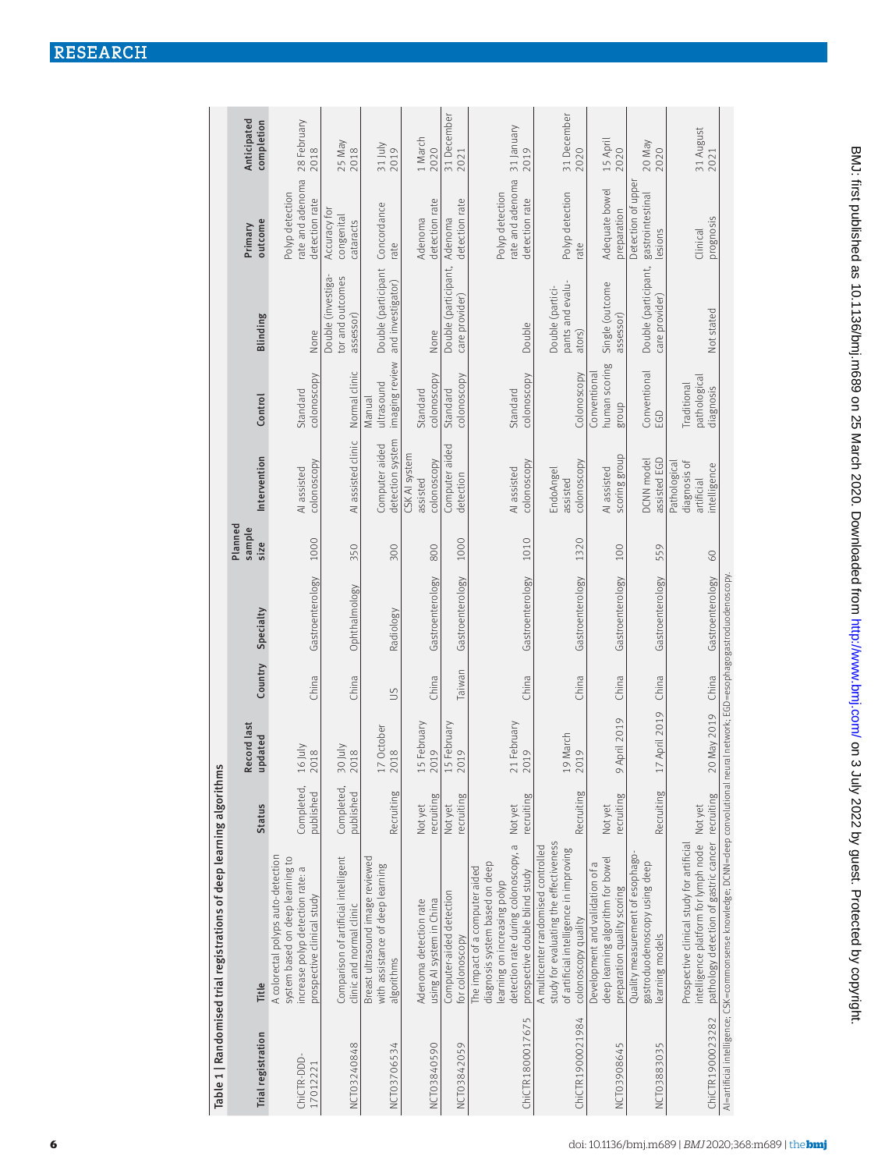|                                                                      | Anticipated<br>completion | 28 February<br>2018                                                                                                                      | 25 May<br>2018                                                   | $31 \text{ July}$<br>2019                                                          | 1 March<br>2020                                    | 31 December<br>2021                         | 31 January<br>2019                                                                                                                                                        | 31 December<br>2020                                                                                                                             | 15 April<br>2020                                                                                    | 20 May<br>2020                                                                      | 31 August<br>2021                                                                                                                             |
|----------------------------------------------------------------------|---------------------------|------------------------------------------------------------------------------------------------------------------------------------------|------------------------------------------------------------------|------------------------------------------------------------------------------------|----------------------------------------------------|---------------------------------------------|---------------------------------------------------------------------------------------------------------------------------------------------------------------------------|-------------------------------------------------------------------------------------------------------------------------------------------------|-----------------------------------------------------------------------------------------------------|-------------------------------------------------------------------------------------|-----------------------------------------------------------------------------------------------------------------------------------------------|
|                                                                      | outcome<br>Primary        | rate and adenoma<br>Polyp detection<br>detection rate                                                                                    | Accuracy for<br>congenital<br>cataracts                          | Concordance                                                                        | detection rate<br>Adenoma                          | detection rate<br>Adenoma                   | rate and adenoma<br>Polyp detection<br>detection rate                                                                                                                     | Polyp detection                                                                                                                                 | Adequate bowel<br>preparation                                                                       | Detection of upper<br>gastrointestinal                                              | prognosis                                                                                                                                     |
|                                                                      |                           |                                                                                                                                          | Double (investiga-<br>tor and outcomes                           | rate<br>Double (participant<br>and investigator)                                   |                                                    | Double (participant,<br>care provider)      |                                                                                                                                                                           | rate<br>pants and evalu-<br>Double (partici-                                                                                                    | Single (outcome                                                                                     | esions<br>Double (participant,<br>care provider)                                    | Clinical                                                                                                                                      |
|                                                                      | Blinding                  | None                                                                                                                                     | assessor)                                                        |                                                                                    | None                                               |                                             | Double                                                                                                                                                                    | ators)                                                                                                                                          | assessor)                                                                                           |                                                                                     | Not stated                                                                                                                                    |
|                                                                      | Control                   | colonoscopy<br>Standard                                                                                                                  | Normal clinic                                                    | imaging review<br>ultrasound<br>Manual                                             | colonoscopy<br>Standard                            | colonoscopy<br>Standard                     | colonoscopy<br>Standard                                                                                                                                                   | Colonoscopy                                                                                                                                     | human scoring<br>Conventional<br>group                                                              | Conventional<br>EGD                                                                 | pathological<br>Traditional<br>diagnosis                                                                                                      |
|                                                                      | Intervention              | colonoscopy<br>Al assisted                                                                                                               | Al assisted clinic                                               | detection system<br>Computer aided                                                 | CSK AI system<br>colonoscopy<br>assisted           | Computer aided<br>detection                 | colonoscopy<br>AI assisted                                                                                                                                                | colonoscopy<br>EndoAngel<br>assisted                                                                                                            | scoring group<br>AI assisted                                                                        | assisted EGD<br>DCNN model                                                          | diagnosis of<br>Pathological<br>ntelligence<br>artificial                                                                                     |
|                                                                      | Planned<br>sample<br>size | 1000                                                                                                                                     | 350                                                              | 300                                                                                | 800                                                | 1000                                        | 1010                                                                                                                                                                      | 1320                                                                                                                                            | 100                                                                                                 | 559                                                                                 | 60                                                                                                                                            |
|                                                                      | Specialty                 | Gastroenterology                                                                                                                         | Ophthalmology                                                    | Radiology                                                                          | Gastroenterology                                   | Gastroenterology                            | Gastroenterology                                                                                                                                                          | Gastroenterology                                                                                                                                | Gastroenterology                                                                                    | Gastroenterology                                                                    | Gastroenterology                                                                                                                              |
|                                                                      | Country                   | China                                                                                                                                    | China                                                            | $\overline{5}$                                                                     | China                                              | Taiwan                                      | China                                                                                                                                                                     | China                                                                                                                                           | China                                                                                               | China                                                                               | China                                                                                                                                         |
|                                                                      | Record last<br>updated    | 16 July<br>2018                                                                                                                          | 30 July<br>2018                                                  | 17 October<br>2018                                                                 | .5 February<br>2019                                | .5 February<br>2019                         | 21 February<br>2019                                                                                                                                                       | 19 March<br>2019                                                                                                                                | April 2019<br>σ                                                                                     | 17 April 2019                                                                       | 20 May 2019                                                                                                                                   |
|                                                                      | <b>Status</b>             | Completed,<br>published                                                                                                                  | Completed,<br>published                                          | Recruiting                                                                         | recruiting<br>Not yet                              | recruiting<br>Not yet                       | ecruiting<br>Not yet                                                                                                                                                      | Recruiting                                                                                                                                      | recruiting<br>Not yet                                                                               | Recruiting                                                                          |                                                                                                                                               |
| Table 1   Randomised trial registrations of deep learning algorithms | Title                     | A colorectal polyps auto-detection<br>system based on deep learning to<br>increase polyp detection rate: a<br>prospective clinical study | Comparison of artificial intelligent<br>clinic and normal clinic | Breast ultrasound image reviewed<br>with assistance of deep learning<br>algorithms | using AI system in China<br>Adenoma detection rate | Computer-aided detection<br>for colonoscopy | detection rate during colonoscopy, a<br>diagnosis system based on deep<br>The impact of a computer aided<br>prospective double blind study<br>earning on increasing polyp | study for evaluating the effectiveness<br>A multicenter randomised controlled<br>of artificial intelligence in improving<br>colonoscopy quality | deep learning algorithm for bowel<br>Development and validation of a<br>preparation quality scoring | Quality measurement of esophago-<br>gastroduodenoscopy using deep<br>earning models | pathology detection of gastric cancer recruiting<br>intelligence platform for lymph node Not yet<br>Prospective clinical study for artificial |
|                                                                      | Trial registration        | ChiCTR-DDD-<br>17012221                                                                                                                  | NCT03240848                                                      | NCT03706534                                                                        | NCT03840590                                        | NCT03842059                                 | ChiCTR1800017675                                                                                                                                                          | ChiCTR1900021984                                                                                                                                | NCT03908645                                                                                         | NCT03883035                                                                         | ChiCTR1900023282                                                                                                                              |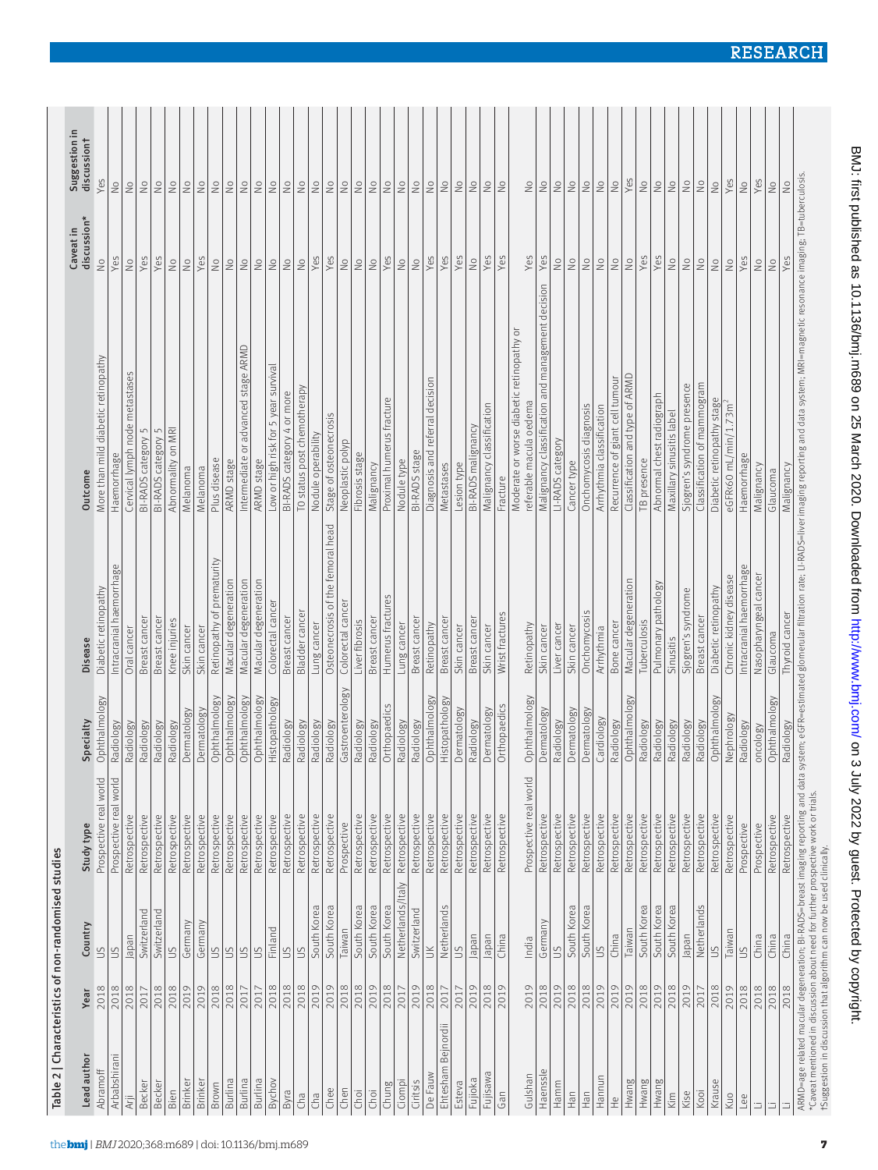| Lead author           | Year | Country           | Study type             | Specialty        | <b>Disease</b>                       | Outcome                                                              | discussion*<br>Caveat in   | Suggestion in<br>discussiont |
|-----------------------|------|-------------------|------------------------|------------------|--------------------------------------|----------------------------------------------------------------------|----------------------------|------------------------------|
| Abramoff              | 2018 | $\frac{2}{3}$     | Prospective real world | Ophthalmology    | Diabetic retinopathy                 | More than mild diabetic retinopathy                                  | $\frac{1}{2}$              | Yes                          |
| Arbabshiran           | 2018 | S                 | Prospective real world | Radiology        | Intracranial haemorrhage             | Haemorrhage                                                          | Yes                        | $\frac{1}{2}$                |
| Arji                  | 2018 | Japan             | Retrospective          | Radiology        | Oral cancer                          | Cervical lymph node metastases                                       | $\frac{1}{2}$              | $\frac{1}{2}$                |
| Becker                | 2017 | Switzerland       | Retrospective          | Radiology        | Breast cancer                        | 5<br><b>BI-RADS</b> category                                         | Yes                        | $\stackrel{\circ}{\geq}$     |
| Becker                | 2018 | Switzerland       | Retrospective          | Radiology        | Breast cancer                        | BI-RADS category 5                                                   | Yes                        | $\stackrel{\circ}{\geq}$     |
| Bien                  | 2018 | SN                | Retrospective          | Radiology        | Knee injuries                        | Abnormality on MRI                                                   | $\frac{1}{2}$              | $\frac{1}{2}$                |
| <b>Brinker</b>        | 2019 | Germany           | Retrospective          | Dermatology      | Skin cancer                          | Melanoma                                                             | $\frac{1}{2}$              | $\frac{1}{2}$                |
| <b>Brinker</b>        | 2019 | Germany           | Retrospective          | Dermatology      | Skin cancer                          | Melanoma                                                             | Yes                        | $\stackrel{\circ}{\simeq}$   |
| Brown                 | 2018 | $\Xi$             | Retrospective          | Ophthalmology    | prematurity<br>Retinopathy of        | Plus disease                                                         | $\frac{1}{2}$              | $\stackrel{\circ}{\simeq}$   |
| Burlina               | 2018 | $\frac{1}{2}$     | Retrospective          | Ophthalmology    | Macular degeneration                 | ARMD stage                                                           | $\stackrel{\circ}{\simeq}$ | $\stackrel{\circ}{\geq}$     |
| Burlina               | 2017 |                   | Retrospective          | Ophthalmology    | Macular degeneration                 | Intermediate or advanced stage ARMD                                  | $\frac{1}{2}$              | $\frac{1}{2}$                |
| Burlina               | 2017 | Ιš                | Retrospective          | Ophthalmology    | Macular degeneration                 | ARMD stage                                                           | $\frac{1}{2}$              | $\stackrel{\circ}{\simeq}$   |
| Bychov                | 2018 | Finland           | Retrospective          | Histopathology   | Colorectal cancer                    | Low or high risk for 5 year survival                                 | $\stackrel{\circ}{\geq}$   | $\stackrel{\circ}{\geq}$     |
| Byra                  | 2018 | S                 | Retrospective          | Radiology        | Breast cancer                        | BI-RADS category 4 or more                                           | $\stackrel{\circ}{\geq}$   | $\stackrel{\circ}{\geq}$     |
| Cha                   | 2018 | $\leq$            | Retrospective          | Radiology        | Bladder cancer                       | TO status post chemotherapy                                          | $\frac{1}{2}$              | $\frac{1}{2}$                |
| Cha                   | 2019 | South Korea       | Retrospective          | Radiology        | Lung cancer                          | Nodule operability                                                   | Yes                        | $\stackrel{\circ}{\geq}$     |
| Chee                  | 2019 | South Korea       | Retrospective          | Radiology        | head<br>Osteonecrosis of the femoral | Stage of osteonecrosis                                               | Yes                        | $\stackrel{\circ}{\simeq}$   |
| Chen                  | 2018 | Taiwan            | Prospective            | Gastroenterology | Colorectal cancer                    | Neoplastic polyp                                                     | $\frac{1}{2}$              | $\stackrel{\circ}{\geq}$     |
| Choi                  | 2018 | South Korea       | Retrospective          | Radiology        | Liver fibrosis                       | Fibrosis stage                                                       | $\stackrel{\circ}{\simeq}$ | $\stackrel{\circ}{\geq}$     |
| Choi                  | 2019 | South Korea       | Retrospective          | Radiology        | Breast cancer                        | Malignancy                                                           | $\stackrel{\circ}{\geq}$   | $\stackrel{\circ}{\geq}$     |
| Chung                 | 2018 | South Korea       | Retrospective          | Orthopaedics     | Humerus fractures                    | Proximal humerus fracture                                            | Yes                        | $\stackrel{\circ}{\geq}$     |
| Ciompi                | 2017 | Netherlands/Italy | Retrospective          | Radiology        | Lung cancer                          | Nodule type                                                          | $\stackrel{\circ}{\simeq}$ | $\stackrel{\circ}{\geq}$     |
| Ciritsis              | 2019 | Switzerland       | Retrospective          | Radiology        | Breast cancer                        | <b>BI-RADS</b> stage                                                 | $\frac{1}{2}$              | $\stackrel{\circ}{\geq}$     |
| De Fauw               | 2018 | $\leq$            | Retrospective          | Ophthalmology    | Retinopathy                          | Diagnosis and referral decision                                      | Yes                        | $\stackrel{\circ}{\geq}$     |
| Bejnordii<br>Ehtesham | 2017 | Netherlands       | Retrospective          | Histopathology   | Breast cancer                        | Metastases                                                           | Yes                        | $\stackrel{\circ}{\geq}$     |
| Esteva                | 2017 | $\leq$            | Retrospective          | Dermatology      | Skin cancer                          | Lesion type                                                          | Yes                        | $\stackrel{\circ}{\geq}$     |
| Fujioka               | 2019 | Japan             | Retrospective          | Radiology        | Breast cancer                        | BI-RADS malignancy                                                   | $\frac{1}{2}$              | $\stackrel{\circ}{\geq}$     |
| Fujisawa              | 2018 | Japan             | Retrospective          | Dermatology      | Skin cancer                          | Malignancy classification                                            | Yes                        | $\stackrel{\circ}{\geq}$     |
| Gan                   | 2019 | China             | Retrospective          | Orthopaedics     | Wrist fractures                      | Fracture                                                             | Yes                        | $\stackrel{\circ}{\simeq}$   |
| Gulshan               | 2019 | India             | Prospective real world | Ophthalmology    | Retinopathy                          | Moderate or worse diabetic retinopathy or<br>referable macula oedema | Yes                        | $\frac{1}{2}$                |
| Haenssle              | 2018 | Germany           | Retrospective          | Dermatology      | Skin cancer                          | Malignancy classification and management decision                    | Yes                        | $\stackrel{\circ}{\geq}$     |
| Hamm                  | 2019 | SO                | Retrospective          | Radiology        | Liver cancer                         | LI-RADS category                                                     | $\frac{1}{2}$              | $\frac{1}{2}$                |
| Han                   | 2018 | South Korea       | Retrospective          | Dermatology      | Skin cancer                          | Cancer type                                                          | $\frac{1}{2}$              | $\stackrel{\circ}{\geq}$     |
| Han                   | 2018 | South Korea       | Retrospective          | Dermatology      | Onchomycosis                         | On chomycosis diagnosis                                              | $\stackrel{\circ}{\simeq}$ | $\stackrel{\circ}{\simeq}$   |
| Hannun                | 2019 | $\mathfrak{S}$    | Retrospective          | Cardiology       | Arrhythmia                           | Arrhythmia classification                                            | $\stackrel{\circ}{\simeq}$ | $\stackrel{\circ}{\geq}$     |
| $\frac{\omega}{\pm}$  | 2019 | China             | Retrospective          | Radiology        | Bone cancer                          | Recurrence of giant cell tumour                                      | $\stackrel{\circ}{\geq}$   | $\frac{1}{2}$                |
| Hwang                 | 2019 | Taiwan            | Retrospective          | Ophthalmology    | Macular degeneration                 | Classification and type of ARMD                                      | $\stackrel{\circ}{\simeq}$ | Yes                          |
| Hwang                 | 2018 | South Korea       | Retrospective          | Radiology        | Tuberculosis                         | TB presence                                                          | Yes                        | $\frac{1}{2}$                |
| Hwang                 | 2019 | South Korea       | Retrospective          | Radiology        | Pulmonary pathology                  | Abnormal chest radiograph                                            | Yes                        | $\frac{1}{2}$                |
| Kim                   | 2018 | South Korea       | Retrospective          | Radiology        | Sinusitis                            | Maxillary sinusitis label                                            | $\stackrel{\circ}{\geq}$   | $\stackrel{\circ}{\geq}$     |
| Kise                  | 2019 | Japan             | Retrospective          | Radiology        | Sjogren's syndrome                   | Sjogren's syndrome presence                                          | $\stackrel{\circ}{\geq}$   | $\stackrel{\circ}{\geq}$     |
| Kooi                  | 2017 | Netherlands       | Retrospective          | Radiology        | Breast cancer                        | Classification of mammogram                                          | $\stackrel{\circ}{\geq}$   | $\frac{1}{2}$                |
| Krause                | 2018 | $\leq$            | Retrospective          | Ophthalmology    | Diabetic retinopathy                 | Diabetic retinopathy stage                                           | $\stackrel{\circ}{\geq}$   | $\stackrel{\circ}{\geq}$     |
| Kuo                   | 2019 | Taiwan            | Retrospective          | Nephrology       | Chronic kidney disease               | eGFR<60 mL/min/1.73m                                                 | $\stackrel{\circ}{\geq}$   | Yes                          |
| Lee                   | 2018 | S                 | Prospective            | Radiology        | Intracranial haemorrhage             | Haemorrhage                                                          | Yes                        | $\frac{1}{2}$                |
| ⊐                     | 2018 | China             | Prospective            | oncology         | Nasopharyngeal cancer                | Malignancy                                                           | $\frac{1}{2}$              | Yes                          |
| Ξ                     | 2018 | China             | Retrospective          | Ophthalmology    | Glaucoma                             | Glaucoma                                                             | $\frac{1}{2}$              | $\frac{1}{2}$                |
|                       | 2018 | China             | Retrospective          | Radiology        | Thyroid cancer                       | Malignancy                                                           | Yes                        | $\geq$                       |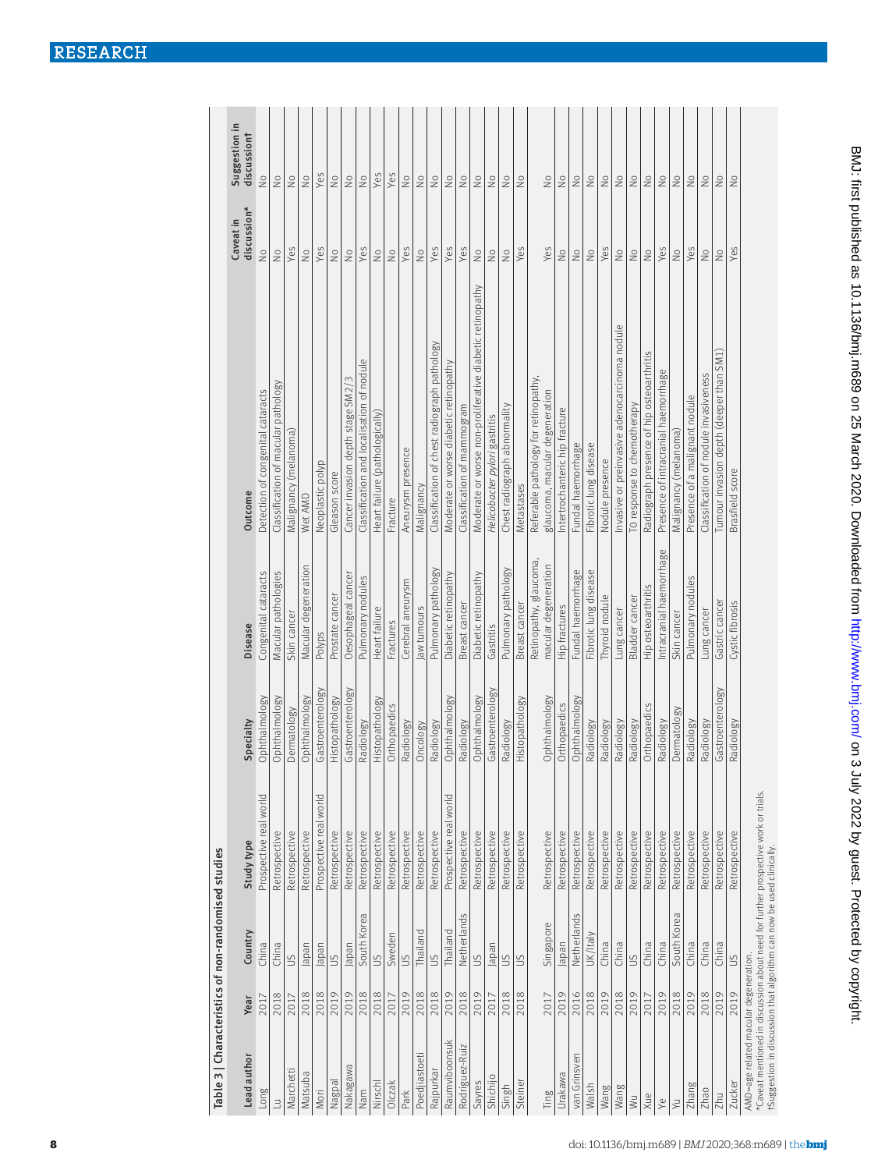| Lead author    | Year | Country        | Study type             | Specialty        | Disease                  | Outcome                                                  | discussion*<br>Caveat in   | Suggestion in<br>discussiont |
|----------------|------|----------------|------------------------|------------------|--------------------------|----------------------------------------------------------|----------------------------|------------------------------|
| Long           | 2017 | China          | Prospective real world | Ophthalmology    | Congenital cataracts     | Detection of congenital cataracts                        | $\frac{1}{2}$              | $\frac{1}{2}$                |
| $\exists$      | 2018 | China          | Retrospective          | Ophthalmology    | Macular pathologies      | Classification of macular pathology                      | $\frac{1}{2}$              | $\frac{1}{2}$                |
| Marchetti      | 2017 | SO             | Retrospective          | Dermatology      | Skin cancer              | Malignancy (melanoma)                                    | Yes                        | $\stackrel{\circ}{\geq}$     |
| Matsuba        | 2018 | Japan          | Retrospective          | Ophthalmology    | Macular degeneration     | Wet AMD                                                  | $\stackrel{\circ}{\geq}$   | $\stackrel{\circ}{\geq}$     |
| Mori           | 2018 | Japan          | Prospective real world | Gastroenterology | Polyps                   | Neoplastic polyp                                         | Yes                        | Yes                          |
| Nagpal         | 2019 | SU             | Retrospective          | Histopathology   | Prostate cancer          | Gleason score                                            | $\stackrel{\circ}{\geq}$   | $\stackrel{\circ}{\geq}$     |
| Nakagawa       | 2019 | Japan          | Retrospective          | Gastroenterology | Oesophageal cancer       | Cancer invasion depth stage SM2/3                        | $\geq$                     | $\stackrel{\circ}{\geq}$     |
| Nam            | 2018 | South Korea    | Retrospective          | Radiology        | Pulmonary nodules        | Classification and localisation of nodule                | Yes                        | $\stackrel{\circ}{\geq}$     |
| Nirschl        | 2018 | $\leq$         | Retrospective          | Histopathology   | Heart failure            | Heart failure (pathologically)                           | $\frac{1}{2}$              | Yes                          |
| Olczak         | 2017 | Sweden         | Retrospective          | Orthopaedics     | Fractures                | Fracture                                                 | $\stackrel{\circ}{\simeq}$ | Yes                          |
| Park           | 2019 | $\frac{1}{2}$  | Retrospective          | Radiology        | Cerebral aneurysm        | Aneurysm presence                                        | Yes                        | $\stackrel{\circ}{\geq}$     |
| Poedjiastoeti  | 2018 | Thailand       | Retrospective          | Oncology         | law tumours              | Malignancy                                               | $\frac{1}{2}$              | $\stackrel{\circ}{\simeq}$   |
| Rajpurkar      | 2018 | $\leq$         | Retrospective          | Radiology        | Pulmonary pathology      | Classification of chest radiograph pathology             | Yes                        | $\stackrel{\circ}{\geq}$     |
| Raumviboonsuk  | 2019 | Thailand       | Prospective real world | Ophthalmology    | Diabetic retinopathy     | Moderate or worse diabetic retinopathy                   | Yes                        | $\stackrel{\circ}{\geq}$     |
| Rodriguez-Ruiz | 2018 | Netherlands    | Retrospective          | Radiology        | Breast cancer            | Classification of mammogram                              | Yes                        | $\stackrel{\circ}{\geq}$     |
| Sayres         | 2019 | S              | Retrospective          | Ophthalmology    | Diabetic retinopathy     | Moderate or worse non-proliferative diabetic retinopathy | $\frac{1}{2}$              | $\stackrel{\circ}{\geq}$     |
| Shichijo       | 2017 | Japan          | Retrospective          | Gastroenterology | Gastritis                | Helicobacter pylori gastritis                            | $\stackrel{\circ}{\geq}$   | $\stackrel{\circ}{\geq}$     |
| Singh          | 2018 | S              | Retrospective          | Radiology        | Pulmonary pathology      | Chest radiograph abnormality                             | $\frac{1}{2}$              | $\stackrel{\circ}{\geq}$     |
| Steiner        | 2018 | $\overline{5}$ | Retrospective          | Histopathology   | Breast cancer            | Metastases                                               | Yes                        | $\frac{1}{2}$                |
|                |      |                |                        |                  | Retinopathy, glaucoma,   | Referable pathology for retinopathy,                     |                            |                              |
| Ting           | 2017 | Singapore      | Retrospective          | Ophthalmology    | macular degeneration     | glaucoma, macular degeneration                           | Yes                        | $\stackrel{\circ}{\geq}$     |
| Urakawa        | 2019 | Japan          | Retrospective          | Orthopaedics     | Hip fractures            | Intertrochanteric hip fracture                           | $\frac{1}{2}$              | $\stackrel{\circ}{\geq}$     |
| van Grinsven   | 2016 | Netherlands    | Retrospective          | Ophthalmology    | Fundal haemorrhage       | Fundal haemorrhage                                       | $\stackrel{\circ}{\geq}$   | $\stackrel{\circ}{\geq}$     |
| Walsh          | 2018 | UK/Italy       | Retrospective          | Radiology        | Fibrotic lung disease    | Fibrotic lung disease                                    | $\frac{1}{2}$              | $\stackrel{\circ}{\geq}$     |
| Wang           | 2019 | China          | Retrospective          | Radiology        | Thyroid nodule           | Nodule presence                                          | Yes                        | $\stackrel{\circ}{\geq}$     |
| Wang           | 2018 | China          | Retrospective          | Radiology        | Lung cancer              | Invasive or preinvasive adenocarcinoma nodule            | $\geq$                     | $\stackrel{\circ}{\geq}$     |
| $\geqslant$    | 2019 | $\leq$         | Retrospective          | Radiology        | Bladder cancer           | TO response to chemotherapy                              | $\stackrel{\circ}{\geq}$   | $\stackrel{\circ}{\geq}$     |
| Xue            | 2017 | China          | Retrospective          | Orthopaedics     | Hip osteoarthritis       | Radiograph presence of hip osteoarthritis                | $\stackrel{\circ}{\simeq}$ | $\stackrel{\circ}{\geq}$     |
| $\searrow$     | 2019 | China          | Retrospective          | Radiology        | Intracranial haemorrhage | Presence of intracranial haemorrhage                     | Yes                        | $\stackrel{\circ}{\geq}$     |
| $\overline{y}$ | 2018 | South Korea    | Retrospective          | Dermatology      | Skin cancer              | Malignancy (melanoma)                                    | $\stackrel{\circ}{\geq}$   | $\stackrel{\circ}{\geq}$     |
| Zhang          | 2019 | China          | Retrospective          | Radiology        | Pulmonary nodules        | Presence of a malignant nodule                           | Yes                        | $\stackrel{\circ}{\geq}$     |
| Zhao           | 2018 | China          | Retrospective          | Radiology        | Lung cancer              | Classification of nodule invasiveness                    | $\stackrel{\circ}{\geq}$   | $\stackrel{\circ}{\geq}$     |
| Zhu            | 2019 | China          | Retrospective          | Gastroenterology | Gastric cancer           | Tumour invasion depth (deeper than SM1)                  |                            | $\frac{0}{2}$                |
| <b>Zucker</b>  | 2019 | $\frac{1}{2}$  | Retrospective          | Radiology        | Cystic fibrosis          | Brasfield score                                          | Yes                        | $\frac{1}{2}$                |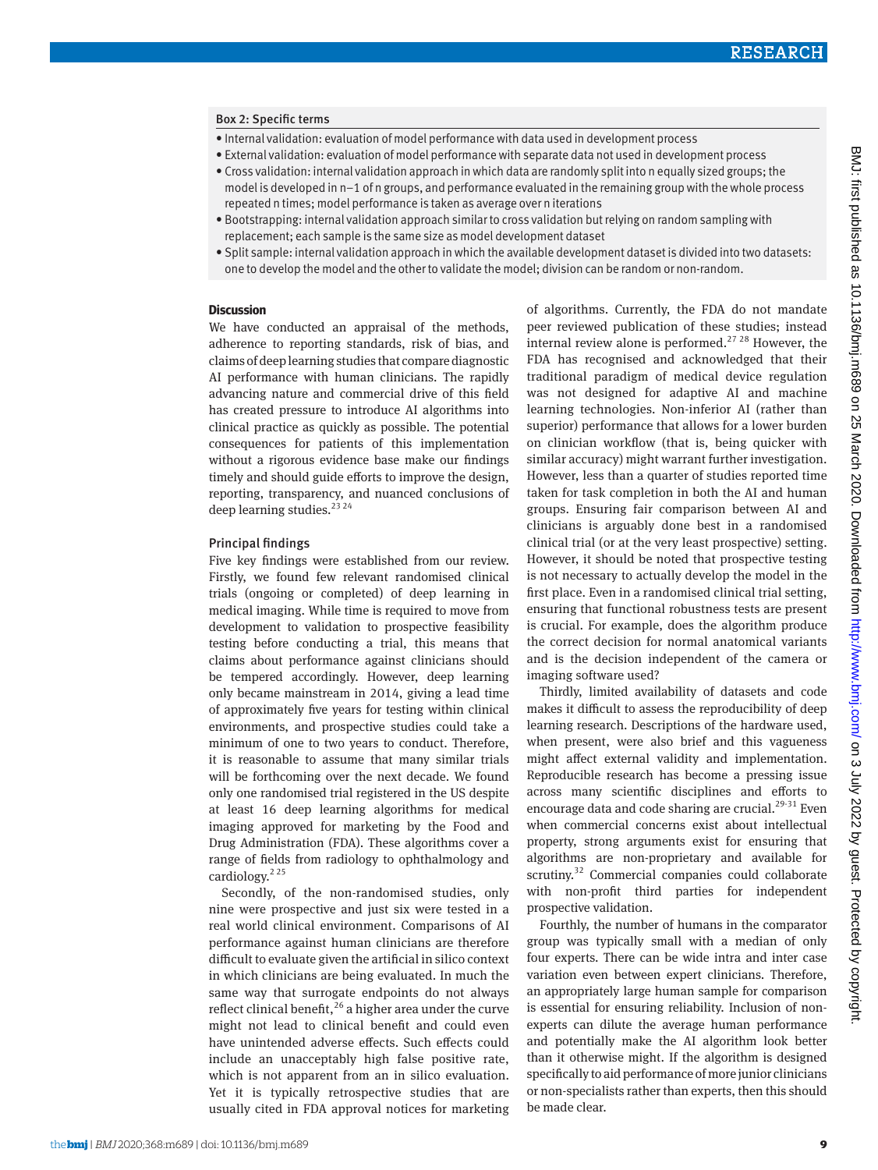#### Box 2: Specific terms

- Internal validation: evaluation of model performance with data used in development process
- External validation: evaluation of model performance with separate data not used in development process
- Cross validation: internal validation approach in which data are randomly split into n equally sized groups; the model is developed in n−1 of n groups, and performance evaluated in the remaining group with the whole process repeated n times; model performance is taken as average over n iterations
- Bootstrapping: internal validation approach similar to cross validation but relying on random sampling with replacement; each sample is the same size as model development dataset
- Split sample: internal validation approach in which the available development dataset is divided into two datasets: one to develop the model and the other to validate the model; division can be random or non-random.

## **Discussion**

We have conducted an appraisal of the methods, adherence to reporting standards, risk of bias, and claims of deep learning studies that compare diagnostic AI performance with human clinicians. The rapidly advancing nature and commercial drive of this field has created pressure to introduce AI algorithms into clinical practice as quickly as possible. The potential consequences for patients of this implementation without a rigorous evidence base make our findings timely and should guide efforts to improve the design, reporting, transparency, and nuanced conclusions of deep learning studies.<sup>23 24</sup>

## Principal findings

Five key findings were established from our review. Firstly, we found few relevant randomised clinical trials (ongoing or completed) of deep learning in medical imaging. While time is required to move from development to validation to prospective feasibility testing before conducting a trial, this means that claims about performance against clinicians should be tempered accordingly. However, deep learning only became mainstream in 2014, giving a lead time of approximately five years for testing within clinical environments, and prospective studies could take a minimum of one to two years to conduct. Therefore, it is reasonable to assume that many similar trials will be forthcoming over the next decade. We found only one randomised trial registered in the US despite at least 16 deep learning algorithms for medical imaging approved for marketing by the Food and Drug Administration (FDA). These algorithms cover a range of fields from radiology to ophthalmology and cardiology. $2^{25}$ 

Secondly, of the non-randomised studies, only nine were prospective and just six were tested in a real world clinical environment. Comparisons of AI performance against human clinicians are therefore difficult to evaluate given the artificial in silico context in which clinicians are being evaluated. In much the same way that surrogate endpoints do not always reflect clinical benefit,  $26$  a higher area under the curve might not lead to clinical benefit and could even have unintended adverse effects. Such effects could include an unacceptably high false positive rate, which is not apparent from an in silico evaluation. Yet it is typically retrospective studies that are usually cited in FDA approval notices for marketing of algorithms. Currently, the FDA do not mandate peer reviewed publication of these studies; instead internal review alone is performed.<sup>27</sup><sup>28</sup> However, the FDA has recognised and acknowledged that their traditional paradigm of medical device regulation was not designed for adaptive AI and machine learning technologies. Non-inferior AI (rather than superior) performance that allows for a lower burden on clinician workflow (that is, being quicker with similar accuracy) might warrant further investigation. However, less than a quarter of studies reported time taken for task completion in both the AI and human groups. Ensuring fair comparison between AI and clinicians is arguably done best in a randomised clinical trial (or at the very least prospective) setting. However, it should be noted that prospective testing is not necessary to actually develop the model in the first place. Even in a randomised clinical trial setting, ensuring that functional robustness tests are present is crucial. For example, does the algorithm produce the correct decision for normal anatomical variants and is the decision independent of the camera or imaging software used?

Thirdly, limited availability of datasets and code makes it difficult to assess the reproducibility of deep learning research. Descriptions of the hardware used, when present, were also brief and this vagueness might affect external validity and implementation. Reproducible research has become a pressing issue across many scientific disciplines and efforts to encourage data and code sharing are crucial.<sup>29-31</sup> Even when commercial concerns exist about intellectual property, strong arguments exist for ensuring that algorithms are non-proprietary and available for scrutiny.<sup>32</sup> Commercial companies could collaborate with non-profit third parties for independent prospective validation.

Fourthly, the number of humans in the comparator group was typically small with a median of only four experts. There can be wide intra and inter case variation even between expert clinicians. Therefore, an appropriately large human sample for comparison is essential for ensuring reliability. Inclusion of nonexperts can dilute the average human performance and potentially make the AI algorithm look better than it otherwise might. If the algorithm is designed specifically to aid performance of more junior clinicians or non-specialists rather than experts, then this should be made clear.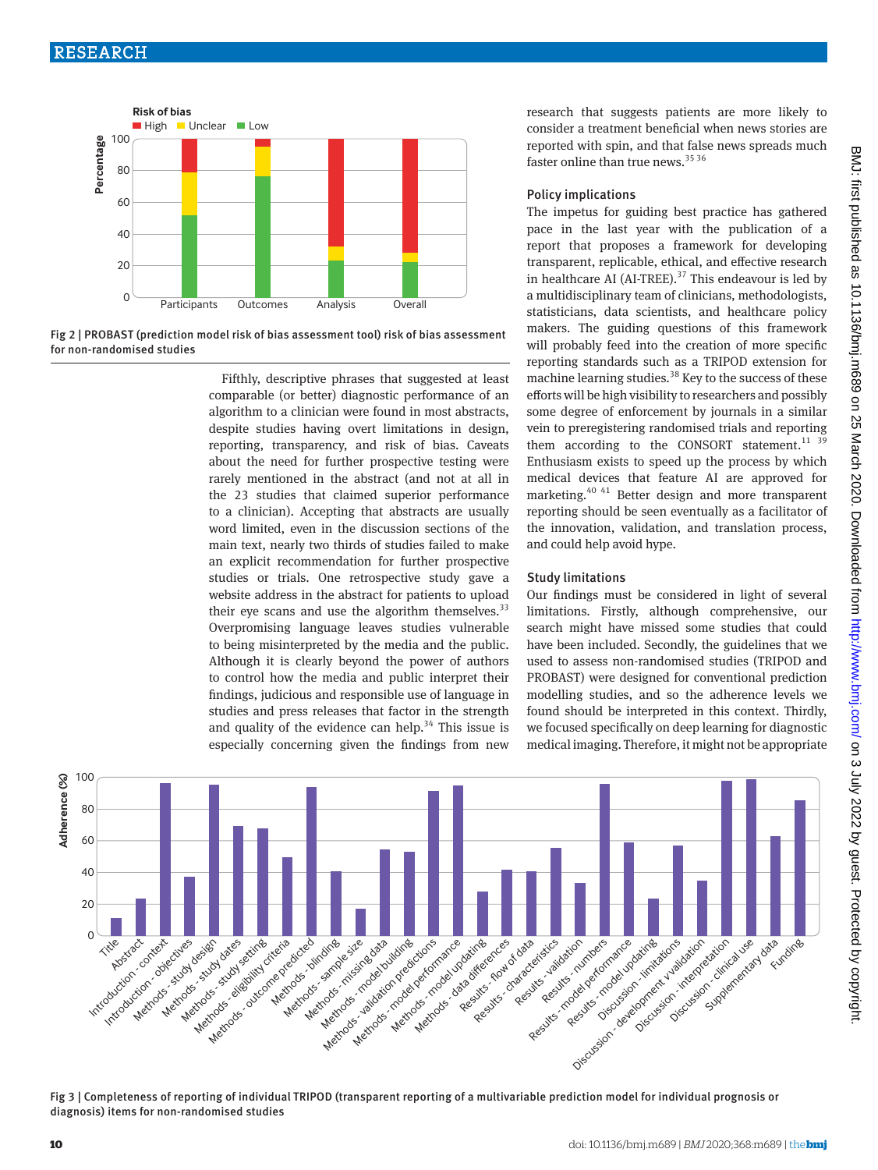

Fig 2 | PROBAST (prediction model risk of bias assessment tool) risk of bias assessment for non-randomised studies

Fifthly, descriptive phrases that suggested at least comparable (or better) diagnostic performance of an algorithm to a clinician were found in most abstracts, despite studies having overt limitations in design, reporting, transparency, and risk of bias. Caveats about the need for further prospective testing were rarely mentioned in the abstract (and not at all in the 23 studies that claimed superior performance to a clinician). Accepting that abstracts are usually word limited, even in the discussion sections of the main text, nearly two thirds of studies failed to make an explicit recommendation for further prospective studies or trials. One retrospective study gave a website address in the abstract for patients to upload their eye scans and use the algorithm themselves. $33$ Overpromising language leaves studies vulnerable to being misinterpreted by the media and the public. Although it is clearly beyond the power of authors to control how the media and public interpret their findings, judicious and responsible use of language in studies and press releases that factor in the strength and quality of the evidence can help.<sup>34</sup> This issue is especially concerning given the findings from new research that suggests patients are more likely to consider a treatment beneficial when news stories are reported with spin, and that false news spreads much faster online than true news.<sup>35 36</sup>

# Policy implications

The impetus for guiding best practice has gathered pace in the last year with the publication of a report that proposes a framework for developing transparent, replicable, ethical, and effective research in healthcare AI (AI-TREE).<sup>37</sup> This endeavour is led by a multidisciplinary team of clinicians, methodologists, statisticians, data scientists, and healthcare policy makers. The guiding questions of this framework will probably feed into the creation of more specific reporting standards such as a TRIPOD extension for machine learning studies.<sup>38</sup> Key to the success of these efforts will be high visibility to researchers and possibly some degree of enforcement by journals in a similar vein to preregistering randomised trials and reporting them according to the CONSORT statement.<sup>11 39</sup> Enthusiasm exists to speed up the process by which medical devices that feature AI are approved for marketing.<sup>40 41</sup> Better design and more transparent reporting should be seen eventually as a facilitator of the innovation, validation, and translation process, and could help avoid hype.

# Study limitations

Our findings must be considered in light of several limitations. Firstly, although comprehensive, our search might have missed some studies that could have been included. Secondly, the guidelines that we used to assess non-randomised studies (TRIPOD and PROBAST) were designed for conventional prediction modelling studies, and so the adherence levels we found should be interpreted in this context. Thirdly, we focused specifically on deep learning for diagnostic medical imaging. Therefore, it might not be appropriate



Fig 3 | Completeness of reporting of individual TRIPOD (transparent reporting of a multivariable prediction model for individual prognosis or diagnosis) items for non-randomised studies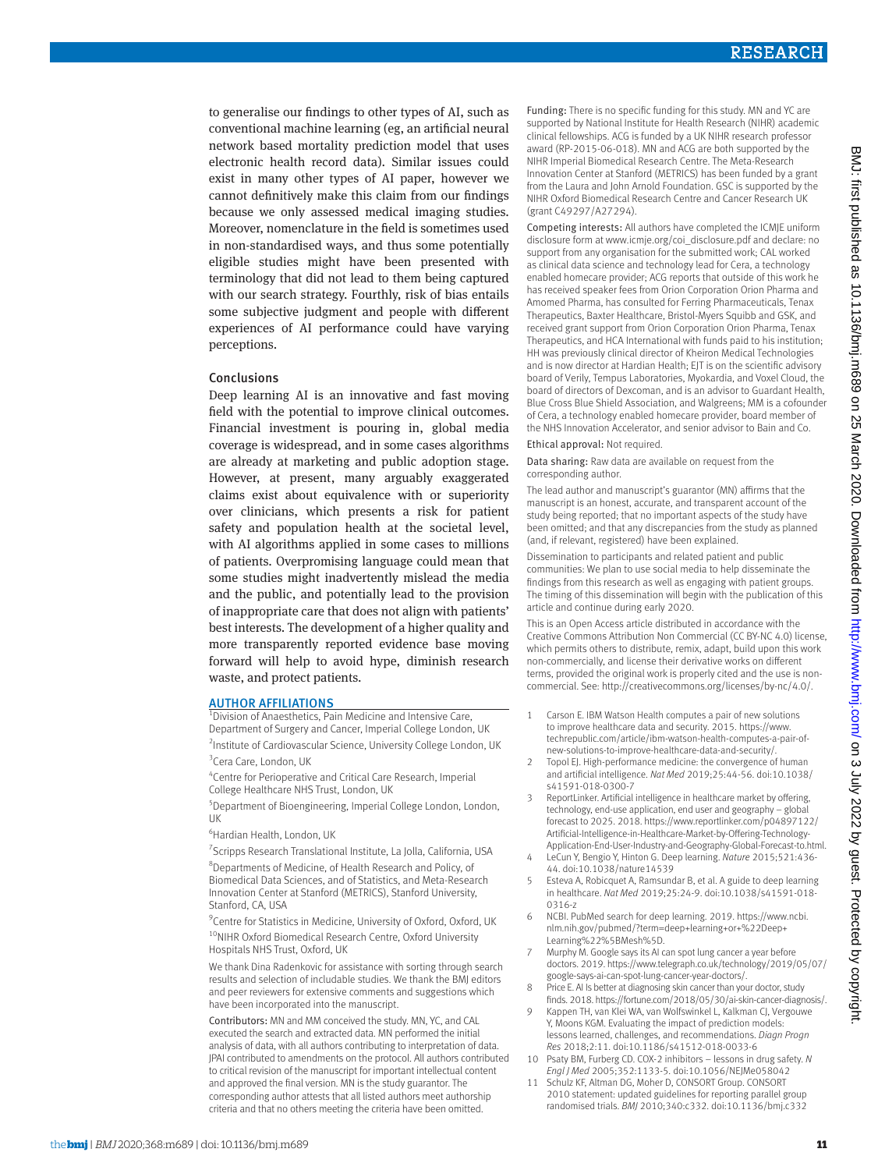to generalise our findings to other types of AI, such as conventional machine learning (eg, an artificial neural network based mortality prediction model that uses electronic health record data). Similar issues could exist in many other types of AI paper, however we cannot definitively make this claim from our findings because we only assessed medical imaging studies. Moreover, nomenclature in the field is sometimes used in non-standardised ways, and thus some potentially eligible studies might have been presented with terminology that did not lead to them being captured with our search strategy. Fourthly, risk of bias entails some subjective judgment and people with different experiences of AI performance could have varying perceptions.

## Conclusions

Deep learning AI is an innovative and fast moving field with the potential to improve clinical outcomes. Financial investment is pouring in, global media coverage is widespread, and in some cases algorithms are already at marketing and public adoption stage. However, at present, many arguably exaggerated claims exist about equivalence with or superiority over clinicians, which presents a risk for patient safety and population health at the societal level, with AI algorithms applied in some cases to millions of patients. Overpromising language could mean that some studies might inadvertently mislead the media and the public, and potentially lead to the provision of inappropriate care that does not align with patients' best interests. The development of a higher quality and more transparently reported evidence base moving forward will help to avoid hype, diminish research waste, and protect patients.

## AUTHOR AFFILIATIONS

<sup>1</sup> Division of Anaesthetics, Pain Medicine and Intensive Care, Department of Surgery and Cancer, Imperial College London, UK <sup>2</sup>Institute of Cardiovascular Science, University College London, UK <sup>3</sup>Cera Care, London, UK

4 Centre for Perioperative and Critical Care Research, Imperial

College Healthcare NHS Trust, London, UK 5 Department of Bioengineering, Imperial College London, London,

UK

6 Hardian Health, London, UK

<sup>7</sup> Scripps Research Translational Institute, La Jolla, California, USA 8 Departments of Medicine, of Health Research and Policy, of

Biomedical Data Sciences, and of Statistics, and Meta-Research Innovation Center at Stanford (METRICS), Stanford University, Stanford, CA, USA

<sup>9</sup> Centre for Statistics in Medicine, University of Oxford, Oxford, UK <sup>10</sup>NIHR Oxford Biomedical Research Centre, Oxford University Hospitals NHS Trust, Oxford, UK

We thank Dina Radenkovic for assistance with sorting through search results and selection of includable studies. We thank the BMJ editors and peer reviewers for extensive comments and suggestions which have been incorporated into the manuscript.

Contributors: MN and MM conceived the study. MN, YC, and CAL executed the search and extracted data. MN performed the initial analysis of data, with all authors contributing to interpretation of data. JPAI contributed to amendments on the protocol. All authors contributed to critical revision of the manuscript for important intellectual content and approved the final version. MN is the study guarantor. The corresponding author attests that all listed authors meet authorship criteria and that no others meeting the criteria have been omitted.

Funding: There is no specific funding for this study. MN and YC are supported by National Institute for Health Research (NIHR) academic clinical fellowships. ACG is funded by a UK NIHR research professor award (RP-2015-06-018). MN and ACG are both supported by the NIHR Imperial Biomedical Research Centre. The Meta-Research Innovation Center at Stanford (METRICS) has been funded by a grant from the Laura and John Arnold Foundation. GSC is supported by the NIHR Oxford Biomedical Research Centre and Cancer Research UK (grant C49297/A27294).

Competing interests: All authors have completed the ICMJE uniform disclosure form at [www.icmje.org/coi\\_disclosure.pdf](http://www.icmje.org/coi_disclosure.pdf) and declare: no support from any organisation for the submitted work; CAL worked as clinical data science and technology lead for Cera, a technology enabled homecare provider; ACG reports that outside of this work he has received speaker fees from Orion Corporation Orion Pharma and Amomed Pharma, has consulted for Ferring Pharmaceuticals, Tenax Therapeutics, Baxter Healthcare, Bristol-Myers Squibb and GSK, and received grant support from Orion Corporation Orion Pharma, Tenax Therapeutics, and HCA International with funds paid to his institution; HH was previously clinical director of Kheiron Medical Technologies and is now director at Hardian Health; EJT is on the scientific advisory board of Verily, Tempus Laboratories, Myokardia, and Voxel Cloud, the board of directors of Dexcoman, and is an advisor to Guardant Health, Blue Cross Blue Shield Association, and Walgreens; MM is a cofounder of Cera, a technology enabled homecare provider, board member of the NHS Innovation Accelerator, and senior advisor to Bain and Co.

Ethical approval: Not required.

Data sharing: Raw data are available on request from the corresponding author.

The lead author and manuscript's guarantor (MN) affirms that the manuscript is an honest, accurate, and transparent account of the study being reported; that no important aspects of the study have been omitted; and that any discrepancies from the study as planned (and, if relevant, registered) have been explained.

Dissemination to participants and related patient and public communities: We plan to use social media to help disseminate the findings from this research as well as engaging with patient groups. The timing of this dissemination will begin with the publication of this article and continue during early 2020.

This is an Open Access article distributed in accordance with the Creative Commons Attribution Non Commercial (CC BY-NC 4.0) license, which permits others to distribute, remix, adapt, build upon this work non-commercially, and license their derivative works on different terms, provided the original work is properly cited and the use is noncommercial. See:<http://creativecommons.org/licenses/by-nc/4.0/>.

- 1 Carson E. IBM Watson Health computes a pair of new solutions to improve healthcare data and security. 2015. [https://www.](https://www.techrepublic.com/article/ibm-watson-health-computes-a-pair-of-new-solutions-to-improve-healthcare-data-and-security/) [techrepublic.com/article/ibm-watson-health-computes-a-pair-of](https://www.techrepublic.com/article/ibm-watson-health-computes-a-pair-of-new-solutions-to-improve-healthcare-data-and-security/)[new-solutions-to-improve-healthcare-data-and-security/.](https://www.techrepublic.com/article/ibm-watson-health-computes-a-pair-of-new-solutions-to-improve-healthcare-data-and-security/)
- 2 Topol EJ. High-performance medicine: the convergence of human and artificial intelligence. *Nat Med* 2019;25:44-56. doi:10.1038/ s41591-018-0300-7
- 3 ReportLinker. Artificial intelligence in healthcare market by offering, technology, end-use application, end user and geography – global forecast to 2025. 2018. [https://www.reportlinker.com/p04897122/](https://www.reportlinker.com/p04897122/Artificial-Intelligence-in-Healthcare-Market-by-Offering-Technology-Application-End-User-Industry-and-Geography-Global-Forecast-to.html) [Artificial-Intelligence-in-Healthcare-Market-by-Offering-Technology-](https://www.reportlinker.com/p04897122/Artificial-Intelligence-in-Healthcare-Market-by-Offering-Technology-Application-End-User-Industry-and-Geography-Global-Forecast-to.html)[Application-End-User-Industry-and-Geography-Global-Forecast-to.html.](https://www.reportlinker.com/p04897122/Artificial-Intelligence-in-Healthcare-Market-by-Offering-Technology-Application-End-User-Industry-and-Geography-Global-Forecast-to.html)
- 4 LeCun Y, Bengio Y, Hinton G. Deep learning. *Nature* 2015;521:436- 44. doi:10.1038/nature14539
- 5 Esteva A, Robicquet A, Ramsundar B, et al. A guide to deep learning in healthcare. *Nat Med* 2019;25:24-9. doi:10.1038/s41591-018- 0316-z
- 6 NCBI. PubMed search for deep learning. 2019. [https://www.ncbi.](https://www.ncbi.nlm.nih.gov/pubmed/?term=deep+learning+or+%22Deep+Learning%22%5BMesh%5D) [nlm.nih.gov/pubmed/?term=deep+learning+or+%22Deep+](https://www.ncbi.nlm.nih.gov/pubmed/?term=deep+learning+or+%22Deep+Learning%22%5BMesh%5D)  [Learning%22%5BMesh%5D.](https://www.ncbi.nlm.nih.gov/pubmed/?term=deep+learning+or+%22Deep+Learning%22%5BMesh%5D)
- 7 Murphy M. Google says its AI can spot lung cancer a year before doctors. 2019. [https://www.telegraph.co.uk/technology/2019/05/07/](https://www.telegraph.co.uk/technology/2019/05/07/google-says-ai-can-spot-lung-cancer-year-doctors/) [google-says-ai-can-spot-lung-cancer-year-doctors/.](https://www.telegraph.co.uk/technology/2019/05/07/google-says-ai-can-spot-lung-cancer-year-doctors/)
- 8 Price E. AI Is better at diagnosing skin cancer than your doctor, study finds. 2018. [https://fortune.com/2018/05/30/ai-skin-cancer-diagnosis/.](https://fortune.com/2018/05/30/ai-skin-cancer-diagnosis/)
- 9 Kappen TH, van Klei WA, van Wolfswinkel L, Kalkman CJ, Vergouwe Y, Moons KGM. Evaluating the impact of prediction models: lessons learned, challenges, and recommendations. *Diagn Progn Res* 2018;2:11. doi:10.1186/s41512-018-0033-6
- 10 Psaty BM, Furberg CD. COX-2 inhibitors lessons in drug safety. *N Engl J Med* 2005;352:1133-5. doi:10.1056/NEJMe058042
- 11 Schulz KF, Altman DG, Moher D, CONSORT Group. CONSORT 2010 statement: updated guidelines for reporting parallel group randomised trials. *BMJ* 2010;340:c332. doi:10.1136/bmj.c332